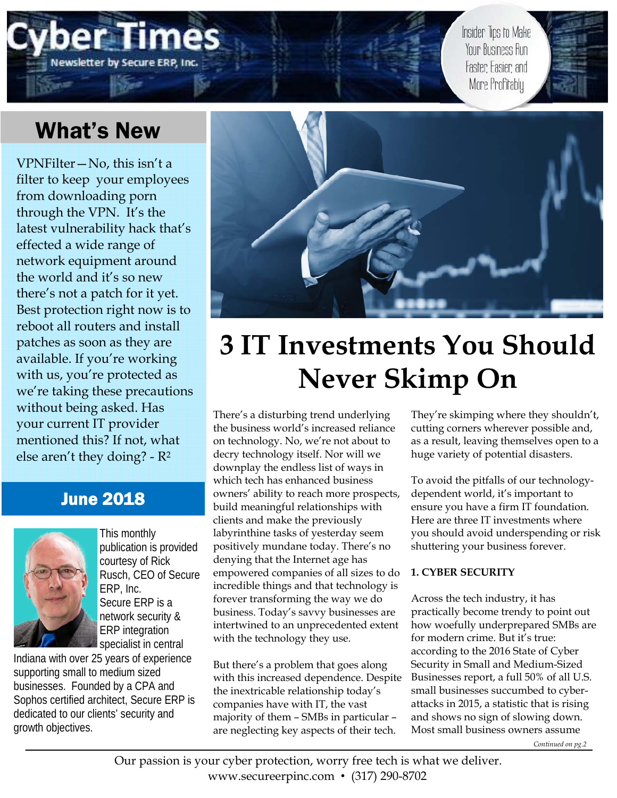# **Newsletter by Secure ERP**

Insider Tips to Make Your Business Run Faster Easier and More Profitably

## What's New

VPNFilter—No, this isn't a filter to keep your employees from downloading porn through the VPN. It's the latest vulnerability hack that's effected a wide range of network equipment around the world and it's so new there's not a patch for it yet. Best protection right now is to reboot all routers and install patches as soon as they are available. If you're working with us, you're protected as we're taking these precautions without being asked. Has your current IT provider mentioned this? If not, what else aren't they doing? - R2

#### June 2018



This monthly publication is provided courtesy of Rick Rusch, CEO of Secure ERP, Inc. Secure ERP is a network security & ERP integration specialist in central

Indiana with over 25 years of experience supporting small to medium sized businesses. Founded by a CPA and Sophos certified architect, Secure ERP is dedicated to our clients' security and growth objectives.



## **3 IT Investments You Should Never Skimp On**

There's a disturbing trend underlying the business world's increased reliance on technology. No, we're not about to decry technology itself. Nor will we downplay the endless list of ways in which tech has enhanced business owners' ability to reach more prospects, build meaningful relationships with clients and make the previously labyrinthine tasks of yesterday seem positively mundane today. There's no denying that the Internet age has empowered companies of all sizes to do incredible things and that technology is forever transforming the way we do business. Today's savvy businesses are intertwined to an unprecedented extent with the technology they use.

But there's a problem that goes along with this increased dependence. Despite the inextricable relationship today's companies have with IT, the vast majority of them – SMBs in particular – are neglecting key aspects of their tech.

They're skimping where they shouldn't, cutting corners wherever possible and, as a result, leaving themselves open to a huge variety of potential disasters.

To avoid the pitfalls of our technologydependent world, it's important to ensure you have a firm IT foundation. Here are three IT investments where you should avoid underspending or risk shuttering your business forever.

#### **1. CYBER SECURITY**

Across the tech industry, it has practically become trendy to point out how woefully underprepared SMBs are for modern crime. But it's true: according to the 2016 State of Cyber Security in Small and Medium-Sized Businesses report, a full 50% of all U.S. small businesses succumbed to cyberattacks in 2015, a statistic that is rising and shows no sign of slowing down. Most small business owners assume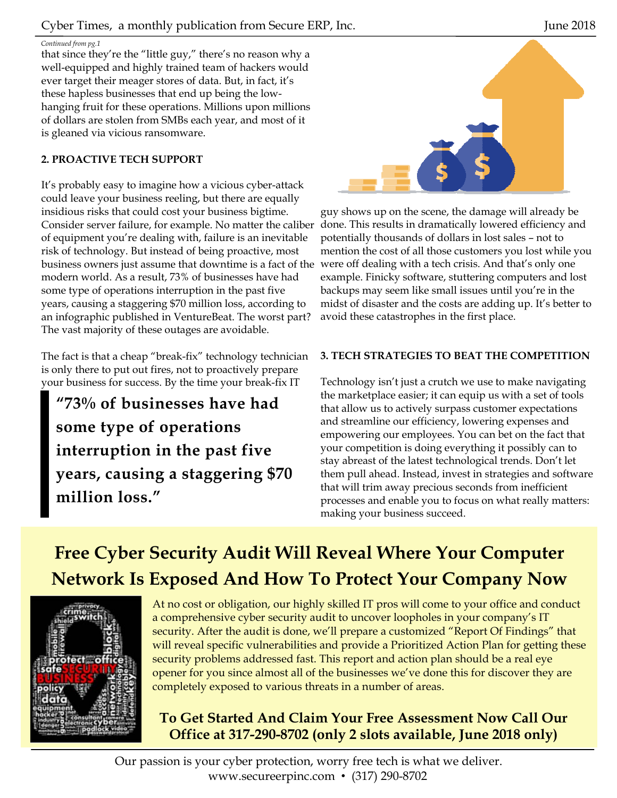#### *Continued from pg.1*

that since they're the "little guy," there's no reason why a well-equipped and highly trained team of hackers would ever target their meager stores of data. But, in fact, it's these hapless businesses that end up being the lowhanging fruit for these operations. Millions upon millions of dollars are stolen from SMBs each year, and most of it is gleaned via vicious ransomware.

#### **2. PROACTIVE TECH SUPPORT**

It's probably easy to imagine how a vicious cyber-attack could leave your business reeling, but there are equally insidious risks that could cost your business bigtime. Consider server failure, for example. No matter the caliber of equipment you're dealing with, failure is an inevitable risk of technology. But instead of being proactive, most business owners just assume that downtime is a fact of the modern world. As a result, 73% of businesses have had some type of operations interruption in the past five years, causing a staggering \$70 million loss, according to an infographic published in VentureBeat. The worst part? The vast majority of these outages are avoidable.

The fact is that a cheap "break-fix" technology technician is only there to put out fires, not to proactively prepare your business for success. By the time your break-fix IT

**"73% of businesses have had some type of operations interruption in the past five years, causing a staggering \$70 million loss."** 



guy shows up on the scene, the damage will already be done. This results in dramatically lowered efficiency and potentially thousands of dollars in lost sales – not to mention the cost of all those customers you lost while you were off dealing with a tech crisis. And that's only one example. Finicky software, stuttering computers and lost backups may seem like small issues until you're in the midst of disaster and the costs are adding up. It's better to avoid these catastrophes in the first place.

#### **3. TECH STRATEGIES TO BEAT THE COMPETITION**

Technology isn't just a crutch we use to make navigating the marketplace easier; it can equip us with a set of tools that allow us to actively surpass customer expectations and streamline our efficiency, lowering expenses and empowering our employees. You can bet on the fact that your competition is doing everything it possibly can to stay abreast of the latest technological trends. Don't let them pull ahead. Instead, invest in strategies and software that will trim away precious seconds from inefficient processes and enable you to focus on what really matters: making your business succeed.

## **Free Cyber Security Audit Will Reveal Where Your Computer Network Is Exposed And How To Protect Your Company Now**



At no cost or obligation, our highly skilled IT pros will come to your office and conduct a comprehensive cyber security audit to uncover loopholes in your company's IT security. After the audit is done, we'll prepare a customized "Report Of Findings" that will reveal specific vulnerabilities and provide a Prioritized Action Plan for getting these security problems addressed fast. This report and action plan should be a real eye opener for you since almost all of the businesses we've done this for discover they are completely exposed to various threats in a number of areas.

#### **To Get Started And Claim Your Free Assessment Now Call Our Office at 317-290-8702 (only 2 slots available, June 2018 only)**

Our passion is your cyber protection, worry free tech is what we deliver. www.secureerpinc.com • (317) 290-8702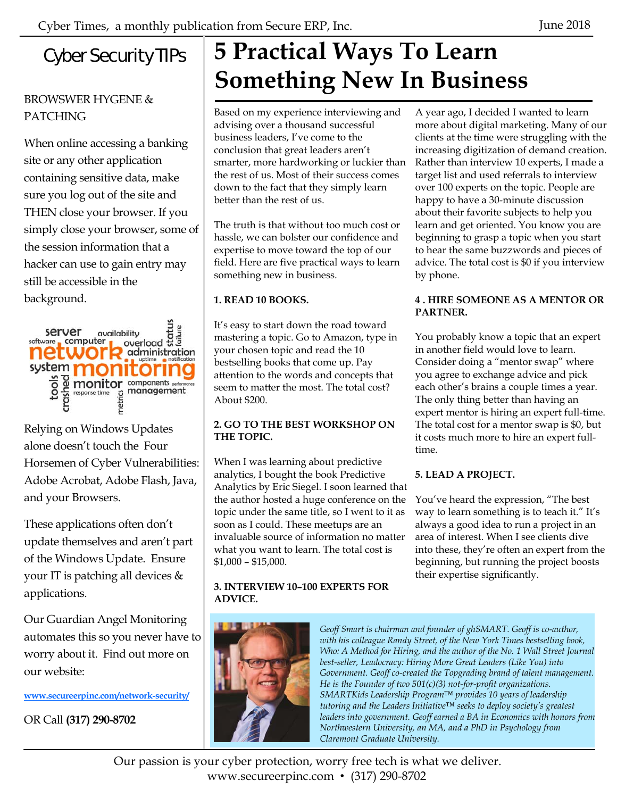### Cyber Security TIPs

#### BROWSWER HYGENE & PATCHING

When online accessing a banking site or any other application containing sensitive data, make sure you log out of the site and THEN close your browser. If you simply close your browser, some of the session information that a hacker can use to gain entry may still be accessible in the background.



Relying on Windows Updates alone doesn't touch the Four Horsemen of Cyber Vulnerabilities: Adobe Acrobat, Adobe Flash, Java, and your Browsers.

These applications often don't update themselves and aren't part of the Windows Update. Ensure your IT is patching all devices & applications.

Our Guardian Angel Monitoring automates this so you never have to worry about it. Find out more on our website:

**www.secureerpinc.com/network-security/**

OR Call **(317) 290-8702**

## **5 Practical Ways To Learn Something New In Business**

Based on my experience interviewing and advising over a thousand successful business leaders, I've come to the conclusion that great leaders aren't smarter, more hardworking or luckier than the rest of us. Most of their success comes down to the fact that they simply learn better than the rest of us.

The truth is that without too much cost or hassle, we can bolster our confidence and expertise to move toward the top of our field. Here are five practical ways to learn something new in business.

#### **1. READ 10 BOOKS.**

It's easy to start down the road toward mastering a topic. Go to Amazon, type in your chosen topic and read the 10 bestselling books that come up. Pay attention to the words and concepts that seem to matter the most. The total cost? About \$200.

#### **2. GO TO THE BEST WORKSHOP ON THE TOPIC.**

When I was learning about predictive analytics, I bought the book Predictive Analytics by Eric Siegel. I soon learned that the author hosted a huge conference on the topic under the same title, so I went to it as soon as I could. These meetups are an invaluable source of information no matter what you want to learn. The total cost is \$1,000 – \$15,000.

#### **3. INTERVIEW 10–100 EXPERTS FOR ADVICE.**



*Geoff Smart is chairman and founder of ghSMART. Geoff is co-author, with his colleague Randy Street, of the New York Times bestselling book, Who: A Method for Hiring, and the author of the No. 1 Wall Street Journal best-seller, Leadocracy: Hiring More Great Leaders (Like You) into Government. Geoff co-created the Topgrading brand of talent management. He is the Founder of two 501(c)(3) not-for-profit organizations. SMARTKids Leadership Program™ provides 10 years of leadership tutoring and the Leaders Initiative™ seeks to deploy society's greatest*  leaders into government. Geoff earned a BA in Economics with honors from *Northwestern University, an MA, and a PhD in Psychology from Claremont Graduate University.*

Our passion is your cyber protection, worry free tech is what we deliver. www.secureerpinc.com • (317) 290-8702

A year ago, I decided I wanted to learn more about digital marketing. Many of our clients at the time were struggling with the increasing digitization of demand creation. Rather than interview 10 experts, I made a target list and used referrals to interview over 100 experts on the topic. People are happy to have a 30-minute discussion about their favorite subjects to help you learn and get oriented. You know you are beginning to grasp a topic when you start to hear the same buzzwords and pieces of advice. The total cost is \$0 if you interview by phone.

#### **4 . HIRE SOMEONE AS A MENTOR OR PARTNER.**

You probably know a topic that an expert in another field would love to learn. Consider doing a "mentor swap" where you agree to exchange advice and pick each other's brains a couple times a year. The only thing better than having an expert mentor is hiring an expert full-time. The total cost for a mentor swap is \$0, but it costs much more to hire an expert fulltime.

#### **5. LEAD A PROJECT.**

You've heard the expression, "The best way to learn something is to teach it." It's always a good idea to run a project in an area of interest. When I see clients dive into these, they're often an expert from the beginning, but running the project boosts their expertise significantly.